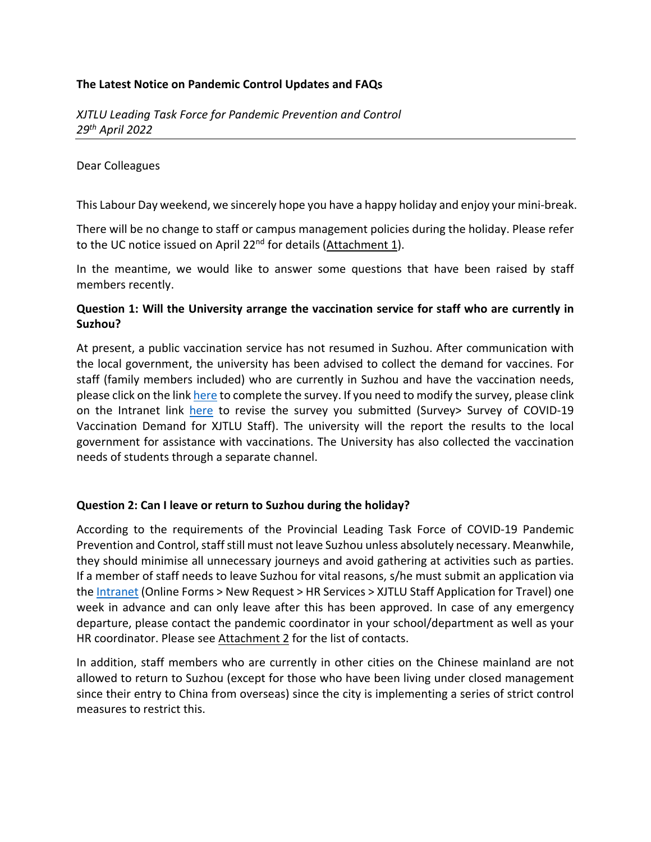### **The Latest Notice on Pandemic Control Updates and FAQs**

#### Dear Colleagues

This Labour Day weekend, we sincerely hope you have a happy holiday and enjoy your mini-break.

There will be no change to staff or campus management policies during the holiday. Please refer to the UC notice issued on April 22<sup>nd</sup> for details (Attachment 1).

In the meantime, we would like to answer some questions that have been raised by staff members recently.

### **Question 1: Will the University arrange the vaccination service for staff who are currently in Suzhou?**

At present, a public vaccination service has not resumed in Suzhou. After communication with the local government, the university has been advised to collect the demand for vaccines. For staff (family members included) who are currently in Suzhou and have the vaccination needs, please click on the link [here](https://xjtlusurvey.wjx.cn/vj/rwx7yYP.aspx) to complete the survey. If you need to modify the survey, please clink on the Intranet link [here](https://xjtlusurvey.wjx.cn/) to revise the survey you submitted (Survey> Survey of COVID-19 Vaccination Demand for XJTLU Staff). The university will the report the results to the local government for assistance with vaccinations. The University has also collected the vaccination needs of students through a separate channel.

### **Question 2: Can I leave or return to Suzhou during the holiday?**

According to the requirements of the Provincial Leading Task Force of COVID-19 Pandemic Prevention and Control, staff still must not leave Suzhou unless absolutely necessary. Meanwhile, they should minimise all unnecessary journeys and avoid gathering at activities such as parties. If a member of staff needs to leave Suzhou for vital reasons, s/he must submit an application via the [Intranet](https://intranet.xjtlu.edu.cn/spa/workflow/static4form/index.html?_rdm=1651203911884&code=88a0df7f3227304a88faa3ab1dfa7fa0524b3f491bc3b8db21c18f4340da51b1#/main/workflow/req?iscreate=1&workflowid=68&isagent=0&beagenter=0&f_weaver_belongto_userid=&f_weaver_belongto_usertype=0&_key=3q7jvn) (Online Forms > New Request > HR Services > XJTLU Staff Application for Travel) one week in advance and can only leave after this has been approved. In case of any emergency departure, please contact the pandemic coordinator in your school/department as well as your HR coordinator. Please see Attachment 2 for the list of contacts.

In addition, staff members who are currently in other cities on the Chinese mainland are not allowed to return to Suzhou (except for those who have been living under closed management since their entry to China from overseas) since the city is implementing a series of strict control measures to restrict this.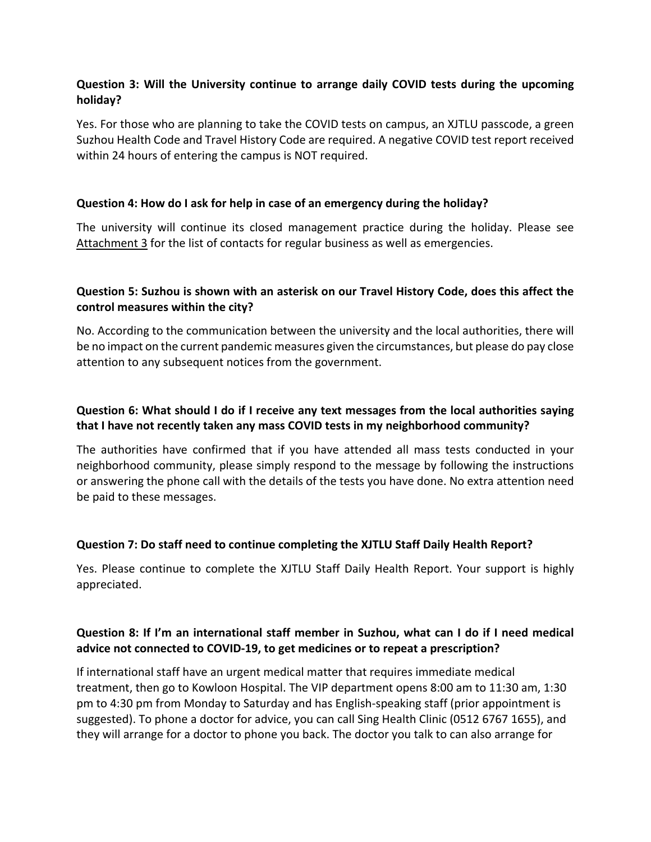# **Question 3: Will the University continue to arrange daily COVID tests during the upcoming holiday?**

Yes. For those who are planning to take the COVID tests on campus, an XJTLU passcode, a green Suzhou Health Code and Travel History Code are required. A negative COVID test report received within 24 hours of entering the campus is NOT required.

### **Question 4: How do I ask for help in case of an emergency during the holiday?**

The university will continue its closed management practice during the holiday. Please see Attachment 3 for the list of contacts for regular business as well as emergencies.

## **Question 5: Suzhou is shown with an asterisk on our Travel History Code, does this affect the control measures within the city?**

No. According to the communication between the university and the local authorities, there will be no impact on the current pandemic measures given the circumstances, but please do pay close attention to any subsequent notices from the government.

## **Question 6: What should I do if I receive any text messages from the local authorities saying that I have not recently taken any mass COVID tests in my neighborhood community?**

The authorities have confirmed that if you have attended all mass tests conducted in your neighborhood community, please simply respond to the message by following the instructions or answering the phone call with the details of the tests you have done. No extra attention need be paid to these messages.

### **Question 7: Do staff need to continue completing the XJTLU Staff Daily Health Report?**

Yes. Please continue to complete the XJTLU Staff Daily Health Report. Your support is highly appreciated.

## **Question 8: If I'm an international staff member in Suzhou, what can I do if I need medical advice not connected to COVID-19, to get medicines or to repeat a prescription?**

If international staff have an urgent medical matter that requires immediate medical treatment, then go to Kowloon Hospital. The VIP department opens 8:00 am to 11:30 am, 1:30 pm to 4:30 pm from Monday to Saturday and has English-speaking staff (prior appointment is suggested). To phone a doctor for advice, you can call Sing Health Clinic (0512 6767 1655), and they will arrange for a doctor to phone you back. The doctor you talk to can also arrange for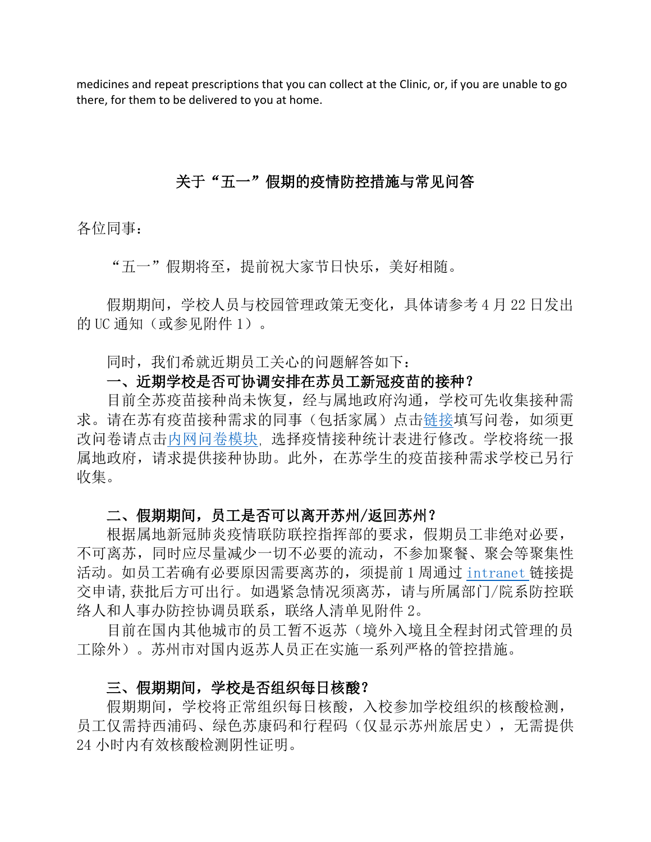medicines and repeat prescriptions that you can collect at the Clinic, or, if you are unable to go there, for them to be delivered to you at home.

# 关于"五一"假期的疫情防控措施与常见问答

各位同事:

"五一"假期将至,提前祝大家节日快乐,美好相随。

假期期间,学校人员与校园管理政策无变化,具体请参考 4 月 22 日发出 的 UC 通知(或参见附件 1)。

同时,我们希就近期员工关心的问题解答如下:

# 一、近期学校是否可协调安排在苏员工新冠疫苗的接种?

目前全苏疫苗接种尚未恢复,经与属地政府沟通,学校可先收集接种需 求。请在苏有疫苗接种需求的同事(包括家属)点[击链接填](https://xjtlusurvey.wjx.cn/vj/rwx7yYP.aspx)写问卷,如须更 改问卷请点[击内网问卷模块](https://xjtlusurvey.wjx.cn/),选择疫情接种统计表进行修改。学校将统一报 属地政府,请求提供接种协助。此外,在苏学生的疫苗接种需求学校已另行 收集。

# 二、假期期间,员工是否可以离开苏州/返回苏州?

根据属地新冠肺炎疫情联防联控指挥部的要求,假期员工非绝对必要, 不可离苏,同时应尽量减少一切不必要的流动,不参加聚餐、聚会等聚集性 活动。如员工若确有必要原因需要离苏的,须提前 1 周通过 [intranet](https://intranet.xjtlu.edu.cn/spa/workflow/static4form/index.html?_rdm=1651203911884#/main/workflow/req?iscreate=1&workflowid=68&isagent=0&beagenter=0&f_weaver_belongto_userid=&f_weaver_belongto_usertype=0&_key=3q7jvn) 链接提 交申请,获批后方可出行。如遇紧急情况须离苏,请与所属部门/院系防控联 络人和人事办防控协调员联系,联络人清单见附件 2。

目前在国内其他城市的员工暂不返苏(境外入境且全程封闭式管理的员 工除外)。苏州市对国内返苏人员正在实施一系列严格的管控措施。

# 三、假期期间,学校是否组织每日核酸?

假期期间,学校将正常组织每日核酸,入校参加学校组织的核酸检测, 员工仅需持西浦码、绿色苏康码和行程码(仅显示苏州旅居史), 无需提供 24 小时内有效核酸检测阴性证明。